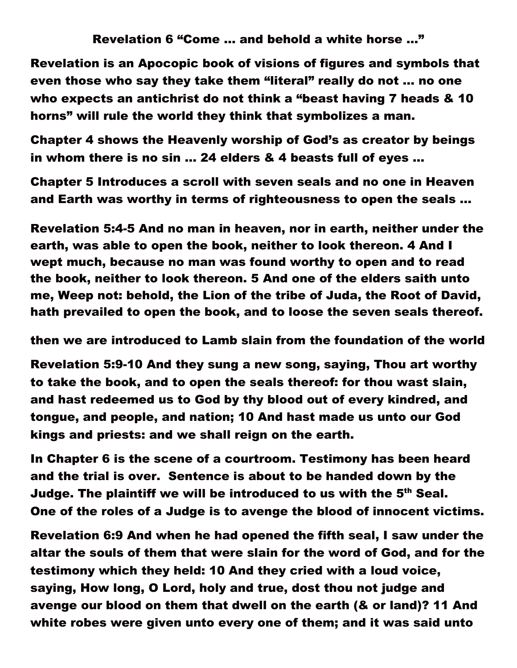Revelation 6 "Come … and behold a white horse …"

Revelation is an Apocopic book of visions of figures and symbols that even those who say they take them "literal" really do not … no one who expects an antichrist do not think a "beast having 7 heads & 10 horns" will rule the world they think that symbolizes a man.

Chapter 4 shows the Heavenly worship of God's as creator by beings in whom there is no sin … 24 elders & 4 beasts full of eyes …

Chapter 5 Introduces a scroll with seven seals and no one in Heaven and Earth was worthy in terms of righteousness to open the seals …

Revelation 5:4-5 And no man in heaven, nor in earth, neither under the earth, was able to open the book, neither to look thereon. 4 And I wept much, because no man was found worthy to open and to read the book, neither to look thereon. 5 And one of the elders saith unto me, Weep not: behold, the Lion of the tribe of Juda, the Root of David, hath prevailed to open the book, and to loose the seven seals thereof.

then we are introduced to Lamb slain from the foundation of the world

Revelation 5:9-10 And they sung a new song, saying, Thou art worthy to take the book, and to open the seals thereof: for thou wast slain, and hast redeemed us to God by thy blood out of every kindred, and tongue, and people, and nation; 10 And hast made us unto our God kings and priests: and we shall reign on the earth.

In Chapter 6 is the scene of a courtroom. Testimony has been heard and the trial is over. Sentence is about to be handed down by the Judge. The plaintiff we will be introduced to us with the 5<sup>th</sup> Seal. One of the roles of a Judge is to avenge the blood of innocent victims.

Revelation 6:9 And when he had opened the fifth seal, I saw under the altar the souls of them that were slain for the word of God, and for the testimony which they held: 10 And they cried with a loud voice, saying, How long, O Lord, holy and true, dost thou not judge and avenge our blood on them that dwell on the earth (& or land)? 11 And white robes were given unto every one of them; and it was said unto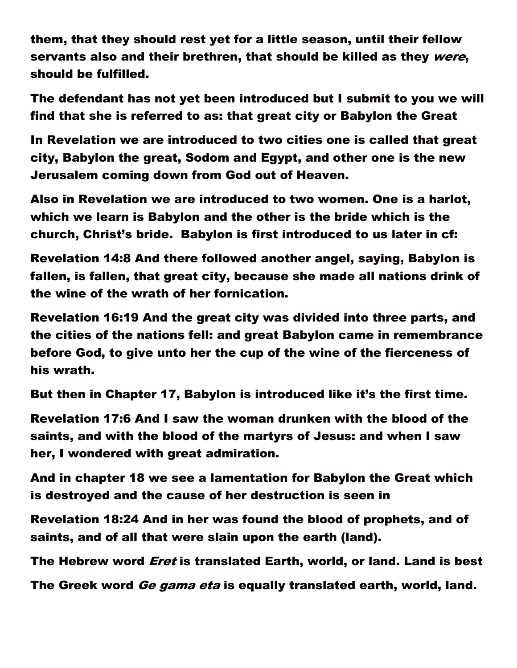them, that they should rest yet for a little season, until their fellow servants also and their brethren, that should be killed as they were, should be fulfilled.

The defendant has not yet been introduced but I submit to you we will find that she is referred to as: that great city or Babylon the Great

In Revelation we are introduced to two cities one is called that great city, Babylon the great, Sodom and Egypt, and other one is the new Jerusalem coming down from God out of Heaven.

Also in Revelation we are introduced to two women. One is a harlot, which we learn is Babylon and the other is the bride which is the church, Christ's bride. Babylon is first introduced to us later in cf:

Revelation 14:8 And there followed another angel, saying, Babylon is fallen, is fallen, that great city, because she made all nations drink of the wine of the wrath of her fornication.

Revelation 16:19 And the great city was divided into three parts, and the cities of the nations fell: and great Babylon came in remembrance before God, to give unto her the cup of the wine of the fierceness of his wrath.

But then in Chapter 17, Babylon is introduced like it's the first time.

Revelation 17:6 And I saw the woman drunken with the blood of the saints, and with the blood of the martyrs of Jesus: and when I saw her, I wondered with great admiration.

And in chapter 18 we see a lamentation for Babylon the Great which is destroyed and the cause of her destruction is seen in

Revelation 18:24 And in her was found the blood of prophets, and of saints, and of all that were slain upon the earth (land).

The Hebrew word *Eret* is translated Earth, world, or land. Land is best

The Greek word *Ge gama eta* is equally translated earth, world, land.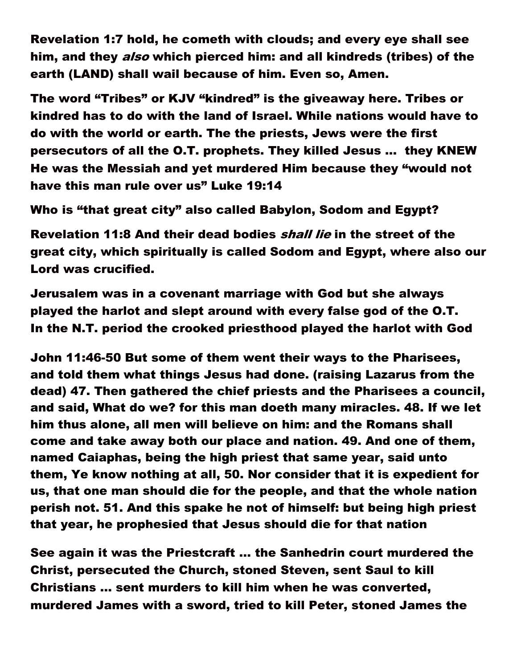Revelation 1:7 hold, he cometh with clouds; and every eye shall see him, and they *also* which pierced him: and all kindreds (tribes) of the earth (LAND) shall wail because of him. Even so, Amen.

The word "Tribes" or KJV "kindred" is the giveaway here. Tribes or kindred has to do with the land of Israel. While nations would have to do with the world or earth. The the priests, Jews were the first persecutors of all the O.T. prophets. They killed Jesus … they KNEW He was the Messiah and yet murdered Him because they "would not have this man rule over us" Luke 19:14

Who is "that great city" also called Babylon, Sodom and Egypt?

Revelation 11:8 And their dead bodies shall lie in the street of the great city, which spiritually is called Sodom and Egypt, where also our Lord was crucified.

Jerusalem was in a covenant marriage with God but she always played the harlot and slept around with every false god of the O.T. In the N.T. period the crooked priesthood played the harlot with God

John 11:46-50 But some of them went their ways to the Pharisees, and told them what things Jesus had done. (raising Lazarus from the dead) 47. Then gathered the chief priests and the Pharisees a council, and said, What do we? for this man doeth many miracles. 48. If we let him thus alone, all men will believe on him: and the Romans shall come and take away both our place and nation. 49. And one of them, named Caiaphas, being the high priest that same year, said unto them, Ye know nothing at all, 50. Nor consider that it is expedient for us, that one man should die for the people, and that the whole nation perish not. 51. And this spake he not of himself: but being high priest that year, he prophesied that Jesus should die for that nation

See again it was the Priestcraft … the Sanhedrin court murdered the Christ, persecuted the Church, stoned Steven, sent Saul to kill Christians … sent murders to kill him when he was converted, murdered James with a sword, tried to kill Peter, stoned James the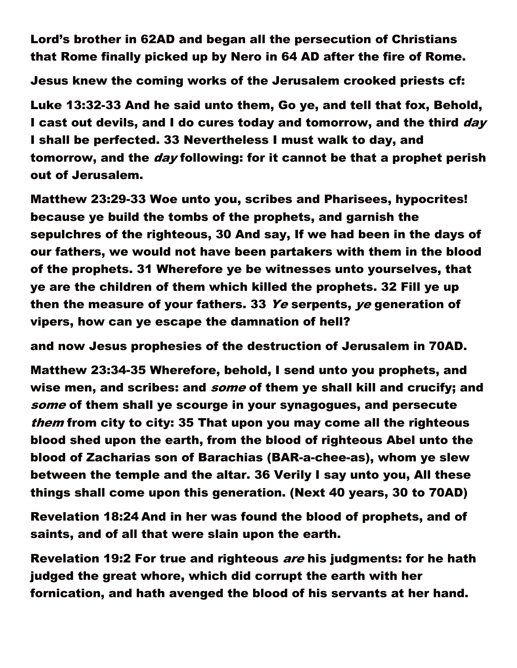Lord's brother in 62AD and began all the persecution of Christians that Rome finally picked up by Nero in 64 AD after the fire of Rome.

Jesus knew the coming works of the Jerusalem crooked priests cf:

Luke 13:32-33 And he said unto them, Go ye, and tell that fox, Behold, I cast out devils, and I do cures today and tomorrow, and the third day I shall be perfected. 33 Nevertheless I must walk to day, and tomorrow, and the *day* following: for it cannot be that a prophet perish out of Jerusalem.

Matthew 23:29-33 Woe unto you, scribes and Pharisees, hypocrites! because ye build the tombs of the prophets, and garnish the sepulchres of the righteous, 30 And say, If we had been in the days of our fathers, we would not have been partakers with them in the blood of the prophets. 31 Wherefore ye be witnesses unto yourselves, that ye are the children of them which killed the prophets. 32 Fill ye up then the measure of your fathers. 33 Ye serpents, ye generation of vipers, how can ye escape the damnation of hell?

and now Jesus prophesies of the destruction of Jerusalem in 70AD.

Matthew 23:34-35 Wherefore, behold, I send unto you prophets, and wise men, and scribes: and *some* of them ye shall kill and crucify; and some of them shall ye scourge in your synagogues, and persecute them from city to city: 35 That upon you may come all the righteous blood shed upon the earth, from the blood of righteous Abel unto the blood of Zacharias son of Barachias (BAR-a-chee-as), whom ye slew between the temple and the altar. 36 Verily I say unto you, All these things shall come upon this generation. (Next 40 years, 30 to 70AD)

Revelation 18:24 And in her was found the blood of prophets, and of saints, and of all that were slain upon the earth.

Revelation 19:2 For true and righteous are his judgments: for he hath judged the great whore, which did corrupt the earth with her fornication, and hath avenged the blood of his servants at her hand.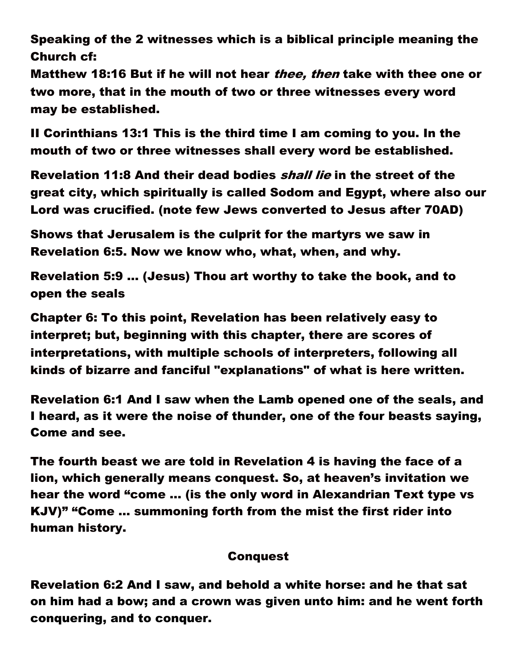Speaking of the 2 witnesses which is a biblical principle meaning the Church cf:

Matthew 18:16 But if he will not hear thee, then take with thee one or two more, that in the mouth of two or three witnesses every word may be established.

II Corinthians 13:1 This is the third time I am coming to you. In the mouth of two or three witnesses shall every word be established.

Revelation 11:8 And their dead bodies *shall lie* in the street of the great city, which spiritually is called Sodom and Egypt, where also our Lord was crucified. (note few Jews converted to Jesus after 70AD)

Shows that Jerusalem is the culprit for the martyrs we saw in Revelation 6:5. Now we know who, what, when, and why.

Revelation 5:9 … (Jesus) Thou art worthy to take the book, and to open the seals

Chapter 6: To this point, Revelation has been relatively easy to interpret; but, beginning with this chapter, there are scores of interpretations, with multiple schools of interpreters, following all kinds of bizarre and fanciful "explanations" of what is here written.

Revelation 6:1 And I saw when the Lamb opened one of the seals, and I heard, as it were the noise of thunder, one of the four beasts saying, Come and see.

The fourth beast we are told in Revelation 4 is having the face of a lion, which generally means conquest. So, at heaven's invitation we hear the word "come … (is the only word in Alexandrian Text type vs KJV)" "Come … summoning forth from the mist the first rider into human history.

## **Conquest**

Revelation 6:2 And I saw, and behold a white horse: and he that sat on him had a bow; and a crown was given unto him: and he went forth conquering, and to conquer.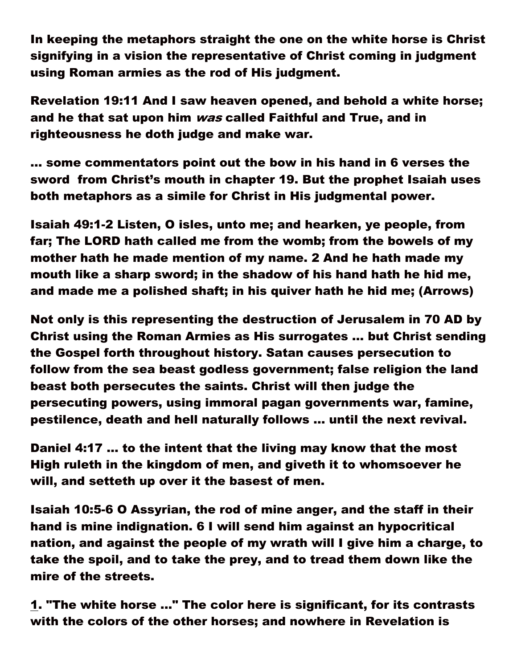In keeping the metaphors straight the one on the white horse is Christ signifying in a vision the representative of Christ coming in judgment using Roman armies as the rod of His judgment.

Revelation 19:11 And I saw heaven opened, and behold a white horse; and he that sat upon him *was* called Faithful and True, and in righteousness he doth judge and make war.

… some commentators point out the bow in his hand in 6 verses the sword from Christ's mouth in chapter 19. But the prophet Isaiah uses both metaphors as a simile for Christ in His judgmental power.

Isaiah 49:1-2 Listen, O isles, unto me; and hearken, ye people, from far; The LORD hath called me from the womb; from the bowels of my mother hath he made mention of my name. 2 And he hath made my mouth like a sharp sword; in the shadow of his hand hath he hid me, and made me a polished shaft; in his quiver hath he hid me; (Arrows)

Not only is this representing the destruction of Jerusalem in 70 AD by Christ using the Roman Armies as His surrogates … but Christ sending the Gospel forth throughout history. Satan causes persecution to follow from the sea beast godless government; false religion the land beast both persecutes the saints. Christ will then judge the persecuting powers, using immoral pagan governments war, famine, pestilence, death and hell naturally follows … until the next revival.

Daniel 4:17 … to the intent that the living may know that the most High ruleth in the kingdom of men, and giveth it to whomsoever he will, and setteth up over it the basest of men.

Isaiah 10:5-6 O Assyrian, the rod of mine anger, and the staff in their hand is mine indignation. 6 I will send him against an hypocritical nation, and against the people of my wrath will I give him a charge, to take the spoil, and to take the prey, and to tread them down like the mire of the streets.

1. "The white horse ..." The color here is significant, for its contrasts with the colors of the other horses; and nowhere in Revelation is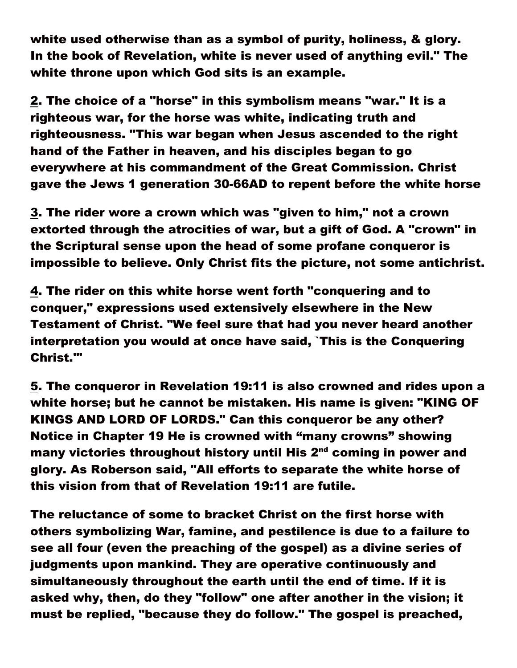white used otherwise than as a symbol of purity, holiness, & glory. In the book of Revelation, white is never used of anything evil." The white throne upon which God sits is an example.

2. The choice of a "horse" in this symbolism means "war." It is a righteous war, for the horse was white, indicating truth and righteousness. "This war began when Jesus ascended to the right hand of the Father in heaven, and his disciples began to go everywhere at his commandment of the Great Commission. Christ gave the Jews 1 generation 30-66AD to repent before the white horse

3. The rider wore a crown which was "given to him," not a crown extorted through the atrocities of war, but a gift of God. A "crown" in the Scriptural sense upon the head of some profane conqueror is impossible to believe. Only Christ fits the picture, not some antichrist.

4. The rider on this white horse went forth "conquering and to conquer," expressions used extensively elsewhere in the New Testament of Christ. "We feel sure that had you never heard another interpretation you would at once have said, `This is the Conquering Christ.'"

5. The conqueror in Revelation 19:11 is also crowned and rides upon a white horse; but he cannot be mistaken. His name is given: "KING OF KINGS AND LORD OF LORDS." Can this conqueror be any other? Notice in Chapter 19 He is crowned with "many crowns" showing many victories throughout history until His 2<sup>nd</sup> coming in power and glory. As Roberson said, "All efforts to separate the white horse of this vision from that of Revelation 19:11 are futile.

The reluctance of some to bracket Christ on the first horse with others symbolizing War, famine, and pestilence is due to a failure to see all four (even the preaching of the gospel) as a divine series of judgments upon mankind. They are operative continuously and simultaneously throughout the earth until the end of time. If it is asked why, then, do they "follow" one after another in the vision; it must be replied, "because they do follow." The gospel is preached,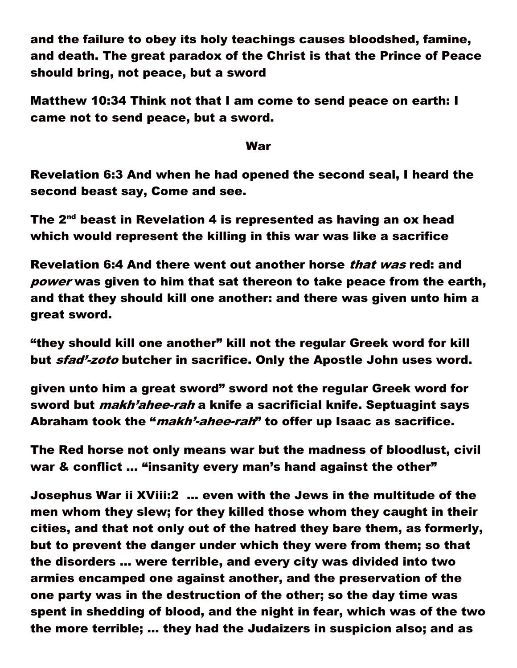and the failure to obey its holy teachings causes bloodshed, famine, and death. The great paradox of the Christ is that the Prince of Peace should bring, not peace, but a sword

Matthew 10:34 Think not that I am come to send peace on earth: I came not to send peace, but a sword.

## War

Revelation 6:3 And when he had opened the second seal, I heard the second beast say, Come and see.

The  $2^{nd}$  beast in Revelation 4 is represented as having an ox head which would represent the killing in this war was like a sacrifice

Revelation 6:4 And there went out another horse that was red: and power was given to him that sat thereon to take peace from the earth, and that they should kill one another: and there was given unto him a great sword.

"they should kill one another" kill not the regular Greek word for kill but *sfad<sup>1</sup>-zoto* butcher in sacrifice. Only the Apostle John uses word.

given unto him a great sword" sword not the regular Greek word for sword but *makh'ahee-rah* a knife a sacrificial knife. Septuagint says Abraham took the "*makh'-ahee-rah*" to offer up Isaac as sacrifice.

The Red horse not only means war but the madness of bloodlust, civil war & conflict ... "insanity every man's hand against the other"

Josephus War ii XViii:2 … even with the Jews in the multitude of the men whom they slew; for they killed those whom they caught in their cities, and that not only out of the hatred they bare them, as formerly, but to prevent the danger under which they were from them; so that the disorders … were terrible, and every city was divided into two armies encamped one against another, and the preservation of the one party was in the destruction of the other; so the day time was spent in shedding of blood, and the night in fear, which was of the two the more terrible; … they had the Judaizers in suspicion also; and as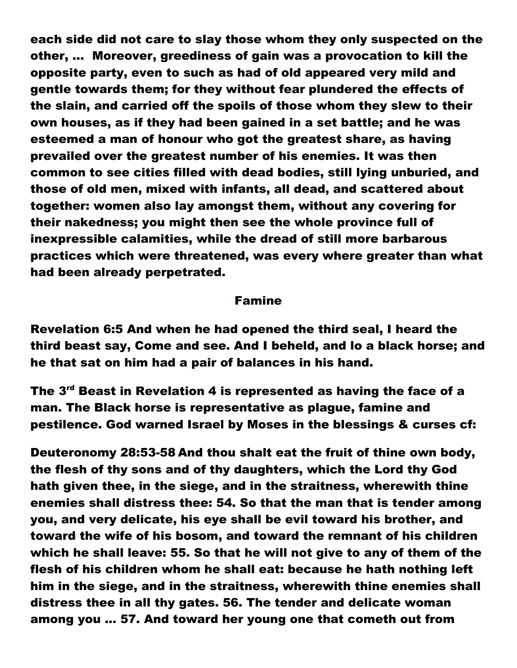each side did not care to slay those whom they only suspected on the other, … Moreover, greediness of gain was a provocation to kill the opposite party, even to such as had of old appeared very mild and gentle towards them; for they without fear plundered the effects of the slain, and carried off the spoils of those whom they slew to their own houses, as if they had been gained in a set battle; and he was esteemed a man of honour who got the greatest share, as having prevailed over the greatest number of his enemies. It was then common to see cities filled with dead bodies, still lying unburied, and those of old men, mixed with infants, all dead, and scattered about together: women also lay amongst them, without any covering for their nakedness; you might then see the whole province full of inexpressible calamities, while the dread of still more barbarous practices which were threatened, was every where greater than what had been already perpetrated.

## Famine

Revelation 6:5 And when he had opened the third seal, I heard the third beast say, Come and see. And I beheld, and lo a black horse; and he that sat on him had a pair of balances in his hand.

The 3<sup>rd</sup> Beast in Revelation 4 is represented as having the face of a man. The Black horse is representative as plague, famine and pestilence. God warned Israel by Moses in the blessings & curses cf:

Deuteronomy 28:53-58 And thou shalt eat the fruit of thine own body, the flesh of thy sons and of thy daughters, which the Lord thy God hath given thee, in the siege, and in the straitness, wherewith thine enemies shall distress thee: 54. So that the man that is tender among you, and very delicate, his eye shall be evil toward his brother, and toward the wife of his bosom, and toward the remnant of his children which he shall leave: 55. So that he will not give to any of them of the flesh of his children whom he shall eat: because he hath nothing left him in the siege, and in the straitness, wherewith thine enemies shall distress thee in all thy gates. 56. The tender and delicate woman among you ... 57. And toward her young one that cometh out from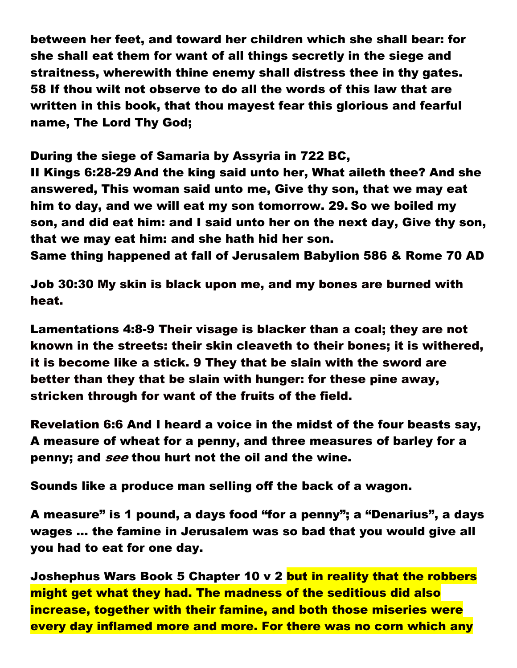between her feet, and toward her children which she shall bear: for she shall eat them for want of all things secretly in the siege and straitness, wherewith thine enemy shall distress thee in thy gates. 58 If thou wilt not observe to do all the words of this law that are written in this book, that thou mayest fear this glorious and fearful name, The Lord Thy God;

During the siege of Samaria by Assyria in 722 BC,

II Kings 6:28-29 And the king said unto her, What aileth thee? And she answered, This woman said unto me, Give thy son, that we may eat him to day, and we will eat my son tomorrow. 29. So we boiled my son, and did eat him: and I said unto her on the next day, Give thy son, that we may eat him: and she hath hid her son.

Same thing happened at fall of Jerusalem Babylion 586 & Rome 70 AD

Job 30:30 My skin is black upon me, and my bones are burned with heat.

Lamentations 4:8-9 Their visage is blacker than a coal; they are not known in the streets: their skin cleaveth to their bones; it is withered, it is become like a stick. 9 They that be slain with the sword are better than they that be slain with hunger: for these pine away, stricken through for want of the fruits of the field.

Revelation 6:6 And I heard a voice in the midst of the four beasts say, A measure of wheat for a penny, and three measures of barley for a penny; and see thou hurt not the oil and the wine.

Sounds like a produce man selling off the back of a wagon.

A measure" is 1 pound, a days food "for a penny"; a "Denarius", a days wages … the famine in Jerusalem was so bad that you would give all you had to eat for one day.

Joshephus Wars Book 5 Chapter 10 v 2 but in reality that the robbers might get what they had. The madness of the seditious did also increase, together with their famine, and both those miseries were every day inflamed more and more. For there was no corn which any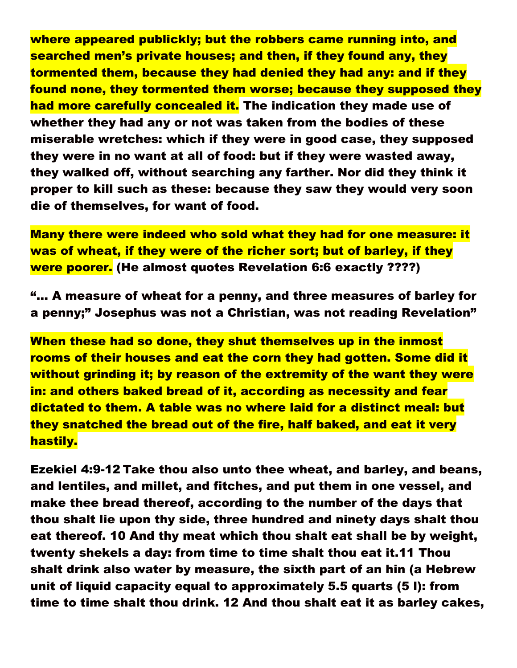where appeared publickly; but the robbers came running into, and searched men's private houses; and then, if they found any, they tormented them, because they had denied they had any: and if they found none, they tormented them worse; because they supposed they had more carefully concealed it. The indication they made use of whether they had any or not was taken from the bodies of these miserable wretches: which if they were in good case, they supposed they were in no want at all of food: but if they were wasted away, they walked off, without searching any farther. Nor did they think it proper to kill such as these: because they saw they would very soon die of themselves, for want of food.

Many there were indeed who sold what they had for one measure: it was of wheat, if they were of the richer sort; but of barley, if they were poorer. (He almost quotes Revelation 6:6 exactly ????)

"… A measure of wheat for a penny, and three measures of barley for a penny;" Josephus was not a Christian, was not reading Revelation"

When these had so done, they shut themselves up in the inmost rooms of their houses and eat the corn they had gotten. Some did it without grinding it; by reason of the extremity of the want they were in: and others baked bread of it, according as necessity and fear dictated to them. A table was no where laid for a distinct meal: but they snatched the bread out of the fire, half baked, and eat it very hastily.

Ezekiel 4:9-12 Take thou also unto thee wheat, and barley, and beans, and lentiles, and millet, and fitches, and put them in one vessel, and make thee bread thereof, according to the number of the days that thou shalt lie upon thy side, three hundred and ninety days shalt thou eat thereof. 10 And thy meat which thou shalt eat shall be by weight, twenty shekels a day: from time to time shalt thou eat it.11 Thou shalt drink also water by measure, the sixth part of an hin (a Hebrew unit of liquid capacity equal to approximately 5.5 quarts (5 l): from time to time shalt thou drink. 12 And thou shalt eat it as barley cakes,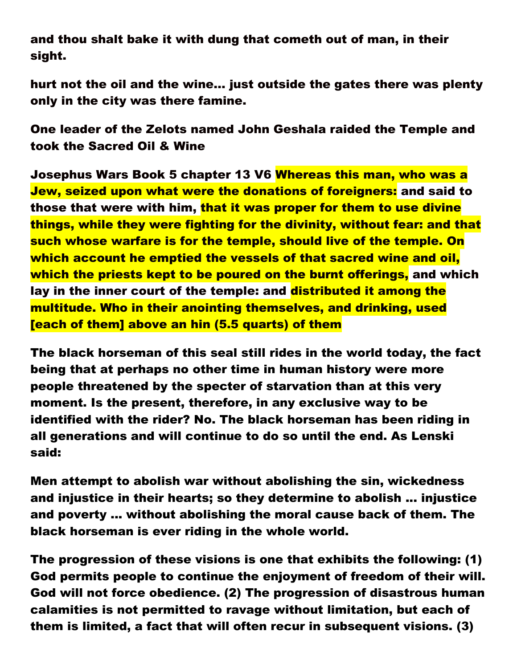and thou shalt bake it with dung that cometh out of man, in their sight.

hurt not the oil and the wine… just outside the gates there was plenty only in the city was there famine.

One leader of the Zelots named John Geshala raided the Temple and took the Sacred Oil & Wine

Josephus Wars Book 5 chapter 13 V6 Whereas this man, who was a Jew, seized upon what were the donations of foreigners: and said to those that were with him, that it was proper for them to use divine things, while they were fighting for the divinity, without fear: and that such whose warfare is for the temple, should live of the temple. On which account he emptied the vessels of that sacred wine and oil, which the priests kept to be poured on the burnt offerings, and which lay in the inner court of the temple: and **distributed it among the** multitude. Who in their anointing themselves, and drinking, used [each of them] above an hin (5.5 quarts) of them

The black horseman of this seal still rides in the world today, the fact being that at perhaps no other time in human history were more people threatened by the specter of starvation than at this very moment. Is the present, therefore, in any exclusive way to be identified with the rider? No. The black horseman has been riding in all generations and will continue to do so until the end. As Lenski said:

Men attempt to abolish war without abolishing the sin, wickedness and injustice in their hearts; so they determine to abolish ... injustice and poverty ... without abolishing the moral cause back of them. The black horseman is ever riding in the whole world.

The progression of these visions is one that exhibits the following: (1) God permits people to continue the enjoyment of freedom of their will. God will not force obedience. (2) The progression of disastrous human calamities is not permitted to ravage without limitation, but each of them is limited, a fact that will often recur in subsequent visions. (3)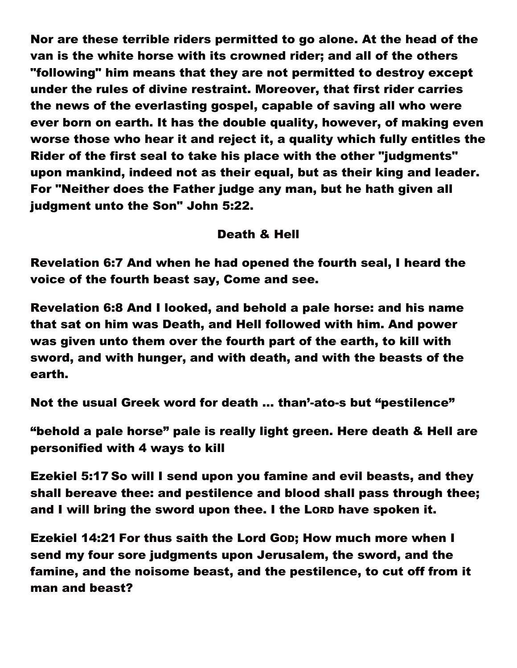Nor are these terrible riders permitted to go alone. At the head of the van is the white horse with its crowned rider; and all of the others "following" him means that they are not permitted to destroy except under the rules of divine restraint. Moreover, that first rider carries the news of the everlasting gospel, capable of saving all who were ever born on earth. It has the double quality, however, of making even worse those who hear it and reject it, a quality which fully entitles the Rider of the first seal to take his place with the other "judgments" upon mankind, indeed not as their equal, but as their king and leader. For "Neither does the Father judge any man, but he hath given all judgment unto the Son" John 5:22.

## Death & Hell

Revelation 6:7 And when he had opened the fourth seal, I heard the voice of the fourth beast say, Come and see.

Revelation 6:8 And I looked, and behold a pale horse: and his name that sat on him was Death, and Hell followed with him. And power was given unto them over the fourth part of the earth, to kill with sword, and with hunger, and with death, and with the beasts of the earth.

Not the usual Greek word for death … than'-ato-s but "pestilence"

"behold a pale horse" pale is really light green. Here death & Hell are personified with 4 ways to kill

Ezekiel 5:17 So will I send upon you famine and evil beasts, and they shall bereave thee: and pestilence and blood shall pass through thee; and I will bring the sword upon thee. I the LORD have spoken it.

Ezekiel 14:21 For thus saith the Lord GOD; How much more when I send my four sore judgments upon Jerusalem, the sword, and the famine, and the noisome beast, and the pestilence, to cut off from it man and beast?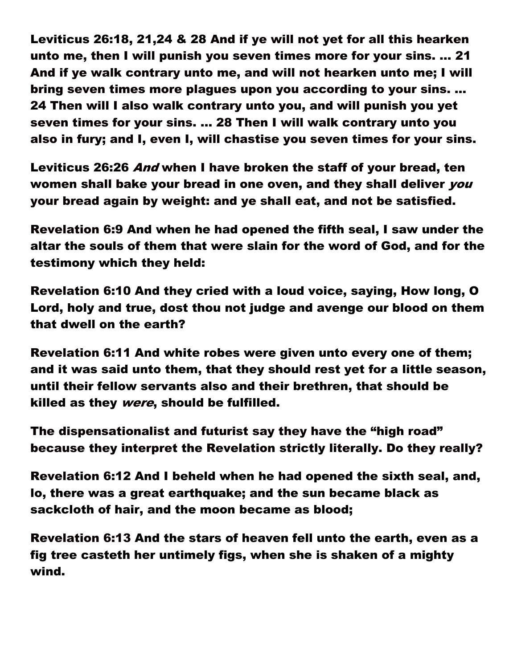Leviticus 26:18, 21,24 & 28 And if ye will not yet for all this hearken unto me, then I will punish you seven times more for your sins. … 21 And if ye walk contrary unto me, and will not hearken unto me; I will bring seven times more plagues upon you according to your sins. … 24 Then will I also walk contrary unto you, and will punish you yet seven times for your sins. … 28 Then I will walk contrary unto you also in fury; and I, even I, will chastise you seven times for your sins.

Leviticus 26:26 And when I have broken the staff of your bread, ten women shall bake your bread in one oven, and they shall deliver you your bread again by weight: and ye shall eat, and not be satisfied.

Revelation 6:9 And when he had opened the fifth seal, I saw under the altar the souls of them that were slain for the word of God, and for the testimony which they held:

Revelation 6:10 And they cried with a loud voice, saying, How long, O Lord, holy and true, dost thou not judge and avenge our blood on them that dwell on the earth?

Revelation 6:11 And white robes were given unto every one of them; and it was said unto them, that they should rest yet for a little season, until their fellow servants also and their brethren, that should be killed as they were, should be fulfilled.

The dispensationalist and futurist say they have the "high road" because they interpret the Revelation strictly literally. Do they really?

Revelation 6:12 And I beheld when he had opened the sixth seal, and, lo, there was a great earthquake; and the sun became black as sackcloth of hair, and the moon became as blood;

Revelation 6:13 And the stars of heaven fell unto the earth, even as a fig tree casteth her untimely figs, when she is shaken of a mighty wind.